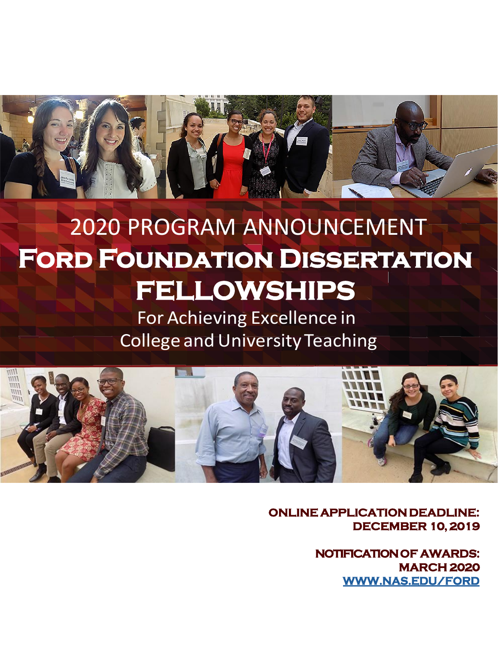

# 2020 PROGRAM ANNOUNCEMENT **Ford Foundation Dissertation FELLOWSHIPS**

For Achieving Excellence in **College and University Teaching** 



**ONLINE APPLICATION DEADLINE: DECEMBER 10, 2019**

> **NOTIFICATION OF AWARDS: MARCH 2020 [WWW.NAS.EDU/FORD](http://www.nas.edu/FORD)**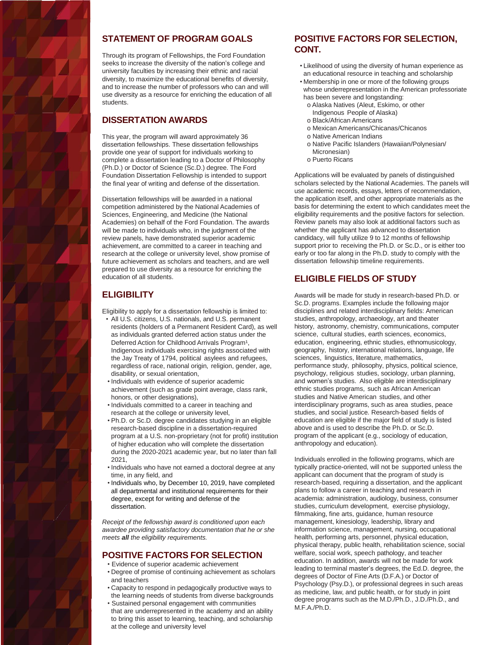

#### **STATEMENT OF PROGRAM GOALS**

Through its program of Fellowships, the Ford Foundation seeks to increase the diversity of the nation's college and university faculties by increasing their ethnic and racial diversity, to maximize the educational benefits of diversity, and to increase the number of professors who can and will use diversity as a resource for enriching the education of all students.

#### **DISSERTATION AWARDS**

This year, the program will award approximately 36 dissertation fellowships. These dissertation fellowships provide one year of support for individuals working to complete a dissertation leading to a Doctor of Philosophy (Ph.D.) or Doctor of Science (Sc.D.) degree. The Ford Foundation Dissertation Fellowship is intended to support the final year of writing and defense of the dissertation.

Dissertation fellowships will be awarded in a national competition administered by the National Academies of Sciences, Engineering, and Medicine (the National Academies) on behalf of the Ford Foundation. The awards will be made to individuals who, in the judgment of the review panels, have demonstrated superior academic achievement, are committed to a career in teaching and research at the college or university level, show promise of future achievement as scholars and teachers, and are well prepared to use diversity as a resource for enriching the education of all students.

## **ELIGIBILITY**

Eligibility to apply for a dissertation fellowship is limited to:

- All U.S. citizens, U.S. nationals, and U.S. permanent residents (holders of a Permanent Resident Card), as well as individuals granted deferred action status under the Deferred Action for Childhood Arrivals Program<sup>1</sup>, Indigenous individuals exercising rights associated with the Jay Treaty of 1794, political asylees and refugees, regardless of race, national origin, religion, gender, age, disability, or sexual orientation,
- Individuals with evidence of superior academic achievement (such as grade point average, class rank, honors, or other designations),
- Individuals committed to a career in teaching and research at the college or university level,
- Ph.D. or Sc.D. degree candidates studying in an eligible research-based discipline in a dissertation-required program at a U.S. non-proprietary (not for profit) institution of higher education who will complete the dissertation during the 2020-2021 academic year, but no later than fall 2021,
- Individuals who have not earned a doctoral degree at any time, in any field, and
- Individuals who, by December 10, 2019, have completed all departmental and institutional requirements for their degree, except for writing and defense of the dissertation.

*Receipt of the fellowship award is conditioned upon each awardee providing satisfactory documentation that he or she meets all the eligibility requirements.*

#### **POSITIVE FACTORS FOR SELECTION**

- Evidence of superior academic achievement
- Degree of promise of continuing achievement as scholars and teachers
- Capacity to respond in pedagogically productive ways to the learning needs of students from diverse backgrounds
- Sustained personal engagement with communities that are underrepresented in the academy and an ability to bring this asset to learning, teaching, and scholarship at the college and university level

### **POSITIVE FACTORS FOR SELECTION, CONT.**

- Likelihood of using the diversity of human experience as an educational resource in teaching and scholarship
- Membership in one or more of the following groups whose underrepresentation in the American professoriate has been severe and longstanding:
	- o Alaska Natives (Aleut, Eskimo, or other Indigenous People of Alaska)
- o Black/African Americans
- o Mexican Americans/Chicanas/Chicanos
- o Native American Indians
- o Native Pacific Islanders (Hawaiian/Polynesian/ Micronesian)
- o Puerto Ricans

Applications will be evaluated by panels of distinguished scholars selected by the National Academies. The panels will use academic records, essays, letters of recommendation, the application itself, and other appropriate materials as the basis for determining the extent to which candidates meet the eligibility requirements and the positive factors for selection. Review panels may also look at additional factors such as whether the applicant has advanced to dissertation candidacy, will fully utilize 9 to 12 months of fellowship support prior to receiving the Ph.D. or Sc.D., or is either too early or too far along in the Ph.D. study to comply with the dissertation fellowship timeline requirements.

#### **ELIGIBLE FIELDS OF STUDY**

Awards will be made for study in research-based Ph.D. or Sc.D. programs. Examples include the following major disciplines and related interdisciplinary fields: American studies, anthropology, archaeology, art and theater history, astronomy, chemistry, communications, computer science, cultural studies, earth sciences, economics, education, engineering, ethnic studies, ethnomusicology, geography, history, international relations, language, life sciences, linguistics, literature, mathematics, performance study, philosophy, physics, political science, psychology, religious studies, sociology, urban planning, and women's studies. Also eligible are interdisciplinary ethnic studies programs, such as African American studies and Native American studies, and other interdisciplinary programs, such as area studies, peace studies, and social justice. Research-based fields of education are eligible if the major field of study is listed above and is used to describe the Ph.D. or Sc.D. program of the applicant (e.g., sociology of education, anthropology and education).

Individuals enrolled in the following programs, which are typically practice-oriented, will not be supported unless the applicant can document that the program of study is research-based, requiring a dissertation, and the applicant plans to follow a career in teaching and research in academia: administration, audiology, business, consumer studies, curriculum development, exercise physiology, filmmaking, fine arts, guidance, human resource management, kinesiology, leadership, library and information science, management, nursing, occupational health, performing arts, personnel, physical education, physical therapy, public health, rehabilitation science, social welfare, social work, speech pathology, and teacher education. In addition, awards will not be made for work leading to terminal master's degrees, the Ed.D. degree, the degrees of Doctor of Fine Arts (D.F.A.) or Doctor of Psychology (Psy.D.), or professional degrees in such areas as medicine, law, and public health, or for study in joint degree programs such as the M.D./Ph.D., J.D./Ph.D., and M.F.A./Ph.D.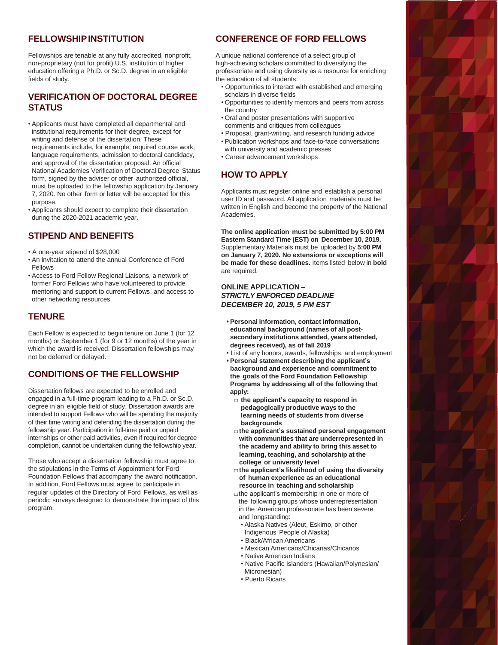#### **FELLOWSHIPINSTITUTION**

Fellowships are tenable at any fully accredited, nonprofit, non-proprietary (not for profit) U.S. institution of higher education offering a Ph.D. or Sc.D. degree in an eligible fields of study.

### **VERIFICATION OF DOCTORAL DEGREE STATUS**

- Applicants must have completed all departmental and institutional requirements for their degree, except for writing and defense of the dissertation. These requirements include, for example, required course work, language requirements, admission to doctoral candidacy, and approval of the dissertation proposal. An official National Academies Verification of Doctoral Degree Status form, signed by the adviser or other authorized official, must be uploaded to the fellowship application by January 7, 2020. No other form or letter will be accepted for this purpose.
- Applicants should expect to complete their dissertation during the 2020-2021 academic year.

#### **STIPEND AND BENEFITS**

- A one-year stipend of \$28,000
- An invitation to attend the annual Conference of Ford Fellows
- Access to Ford Fellow Regional Liaisons, a network of former Ford Fellows who have volunteered to provide mentoring and support to current Fellows, and access to other networking resources

#### **TENURE**

Each Fellow is expected to begin tenure on June 1 (for 12 months) or September 1 (for 9 or 12 months) of the year in which the award is received. Dissertation fellowships may not be deferred or delayed.

#### **CONDITIONS OF THE FELLOWSHIP**

Dissertation fellows are expected to be enrolled and engaged in a full-time program leading to a Ph.D. or Sc.D. degree in an eligible field of study. Dissertation awards are intended to support Fellows who will be spending the majority of their time writing and defending the dissertation during the fellowship year. Participation in full-time paid or unpaid internships or other paid activities, even if required for degree completion, cannot be undertaken during the fellowship year.

Those who accept a dissertation fellowship must agree to the stipulations in the Terms of Appointment for Ford Foundation Fellows that accompany the award notification. In addition, Ford Fellows must agree to participate in regular updates of the Directory of Ford Fellows, as well as periodic surveys designed to demonstrate the impact of this program.

## **CONFERENCE OF FORD FELLOWS**

A unique national conference of a select group of high-achieving scholars committed to diversifying the professoriate and using diversity as a resource for enriching the education of all students:

- Opportunities to interact with established and emerging scholars in diverse fields
- Opportunities to identify mentors and peers from across the country
- Oral and poster presentations with supportive comments and critiques from colleagues
- Proposal, grant-writing, and research funding advice
- Publication workshops and face-to-face conversations with university and academic presses
- Career advancement workshops

#### **HOW TO APPLY**

Applicants must register online and establish a personal user ID and password. All application materials must be written in English and become the property of the National Academies.

**The online application must be submitted by 5:00 PM Eastern Standard Time (EST) on December 10, 2019.**  Supplementary Materials must be uploaded by **5:00 PM on January 7, 2020. No extensions or exceptions will be made for these deadlines.** Items listed below in **bold** are required.

#### **ONLINE APPLICATION –** *STRICTLY ENFORCED DEADLINE DECEMBER 10, 2019, 5 PM EST*

- **• Personal information, contact information, educational background (names of all postsecondary institutions attended, years attended, degrees received), as of fall 2019**
- List of any honors, awards, fellowships, and employment **• Personal statement describing the applicant's background and experience and commitment to the goals of the Ford Foundation Fellowship Programs by addressing all of the following that apply:**
	- **□ the applicant's capacity to respond in pedagogically productive ways to the learning needs of students from diverse backgrounds**
	- **□the applicant's sustained personal engagement with communities that are underrepresented in the academy and ability to bring this asset to learning, teaching, and scholarship at the college or university level**
	- **□the applicant's likelihood of using the diversity of human experience as an educational resource in teaching and scholarship**

□the applicant's membership in one or more of the following groups whose underrepresentation in the American professoriate has been severe and longstanding:

- Alaska Natives (Aleut, Eskimo, or other Indigenous People of Alaska)
- Black/African Americans
- Mexican Americans/Chicanas/Chicanos
- Native American Indians
- Native Pacific Islanders (Hawaiian/Polynesian/
- Micronesian) • Puerto Ricans